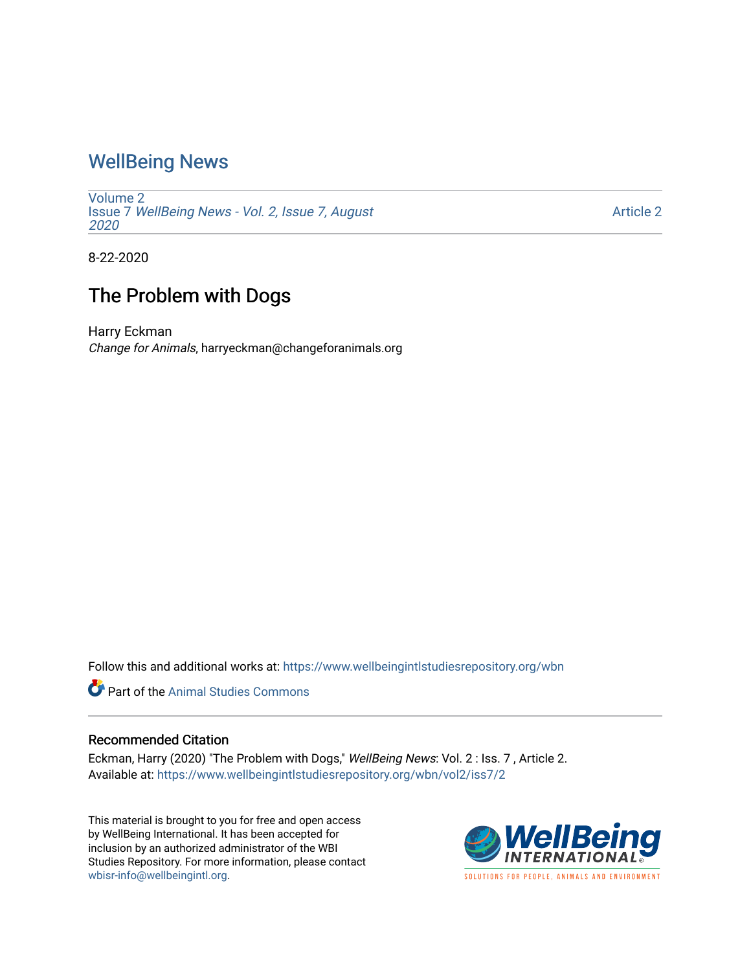## [WellBeing News](https://www.wellbeingintlstudiesrepository.org/wbn)

[Volume 2](https://www.wellbeingintlstudiesrepository.org/wbn/vol2) Issue 7 [WellBeing News - Vol. 2, Issue 7, August](https://www.wellbeingintlstudiesrepository.org/wbn/vol2/iss7) [2020](https://www.wellbeingintlstudiesrepository.org/wbn/vol2/iss7) 

[Article 2](https://www.wellbeingintlstudiesrepository.org/wbn/vol2/iss7/2) 

8-22-2020

## The Problem with Dogs

Harry Eckman Change for Animals, harryeckman@changeforanimals.org

Follow this and additional works at: [https://www.wellbeingintlstudiesrepository.org/wbn](https://www.wellbeingintlstudiesrepository.org/wbn?utm_source=www.wellbeingintlstudiesrepository.org%2Fwbn%2Fvol2%2Fiss7%2F2&utm_medium=PDF&utm_campaign=PDFCoverPages)

Part of the [Animal Studies Commons](http://network.bepress.com/hgg/discipline/1306?utm_source=www.wellbeingintlstudiesrepository.org%2Fwbn%2Fvol2%2Fiss7%2F2&utm_medium=PDF&utm_campaign=PDFCoverPages) 

## Recommended Citation

Eckman, Harry (2020) "The Problem with Dogs," WellBeing News: Vol. 2: Iss. 7, Article 2. Available at: [https://www.wellbeingintlstudiesrepository.org/wbn/vol2/iss7/2](https://www.wellbeingintlstudiesrepository.org/wbn/vol2/iss7/2?utm_source=www.wellbeingintlstudiesrepository.org%2Fwbn%2Fvol2%2Fiss7%2F2&utm_medium=PDF&utm_campaign=PDFCoverPages)

This material is brought to you for free and open access by WellBeing International. It has been accepted for inclusion by an authorized administrator of the WBI Studies Repository. For more information, please contact [wbisr-info@wellbeingintl.org](mailto:wbisr-info@wellbeingintl.org).



SOLUTIONS FOR PEOPLE. ANIMALS AND ENVIRONMENT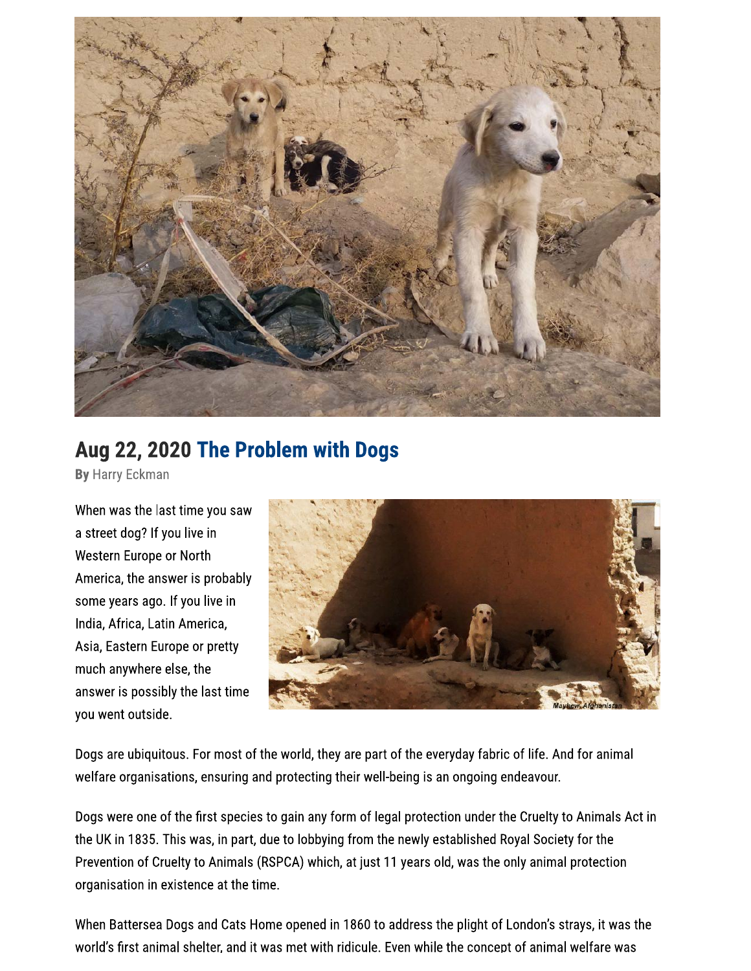

## Aug 22, 2020 The Problem with Dogs

By Harry Eckman

When was the last time you saw a street dog? If you live in Western Europe or North America, the answer is probably some years ago. If you live in India, Africa, Latin America, Asia, Eastern Europe or pretty much anywhere else, the answer is possibly the last time you went outside.



Dogs are ubiquitous. For most of the world, they are part of the everyday fabric of life. And for animal welfare organisations, ensuring and protecting their well-being is an ongoing endeavour.

Dogs were one of the first species to gain any form of legal protection under the Cruelty to Animals Act in the UK in 1835. This was, in part, due to lobbying from the newly established Royal Society for the Prevention of Cruelty to Animals (RSPCA) which, at just 11 years old, was the only animal protection organisation in existence at the time.

When Battersea Dogs and Cats Home opened in 1860 to address the plight of London's strays, it was the world's first animal shelter, and it was met with ridicule. Even while the concept of animal welfare was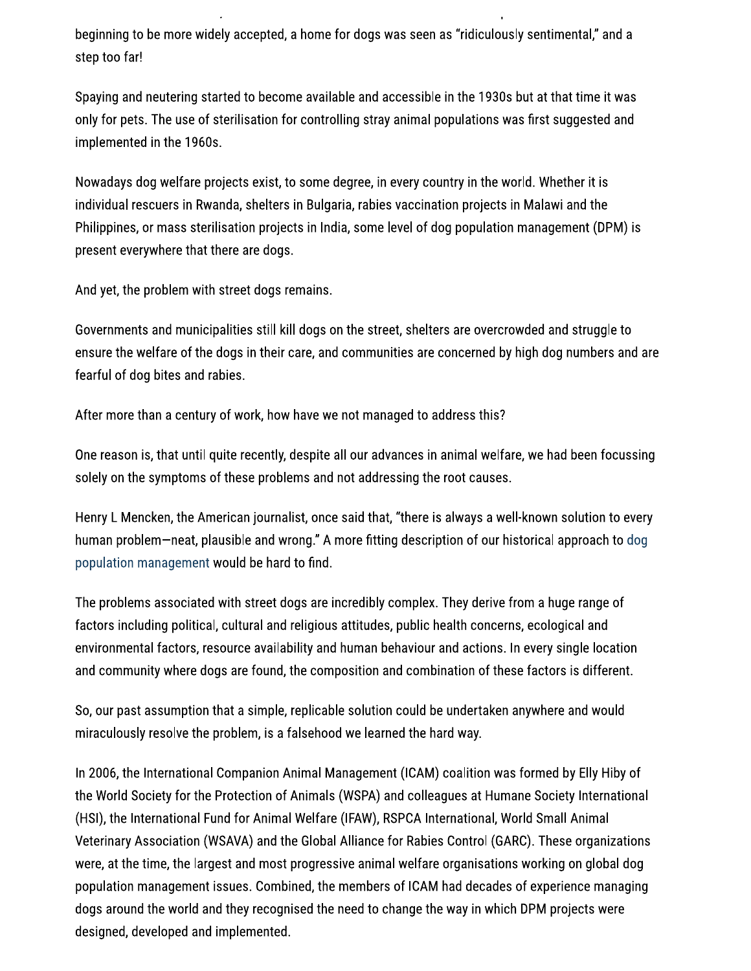beginning to be more widely accepted, a home for dogs was seen as "ridiculously sentimental," and a step too far!

Spaying and neutering started to become available and accessible in the 1930s but at that time it was only for pets. The use of sterilisation for controlling stray animal populations was first suggested and implemented in the 1960s.

Nowadays dog welfare projects exist, to some degree, in every country in the world. Whether it is individual rescuers in Rwanda, shelters in Bulgaria, rabies vaccination projects in Malawi and the Philippines, or mass sterilisation projects in India, some level of dog population management (DPM) is present everywhere that there are dogs.

And yet, the problem with street dogs remains.

Governments and municipalities still kill dogs on the street, shelters are overcrowded and struggle to ensure the welfare of the dogs in their care, and communities are concerned by high dog numbers and are fearful of dog bites and rabies.

After more than a century of work, how have we not managed to address this?

One reason is, that until quite recently, despite all our advances in animal welfare, we had been focussing solely on the symptoms of these problems and not addressing the root causes.

Henry L Mencken, the American journalist, once said that, "there is always a well-known solution to every human problem—neat, plausible and wrong." A more fitting description of our historical approach to dog population management would be hard to find.

The problems associated with street dogs are incredibly complex. They derive from a huge range of factors including political, cultural and religious attitudes, public health concerns, ecological and environmental factors, resource availability and human behaviour and actions. In every single location and community where dogs are found, the composition and combination of these factors is different.

So, our past assumption that a simple, replicable solution could be undertaken anywhere and would miraculously resolve the problem, is a falsehood we learned the hard way.

In 2006, the International Companion Animal Management (ICAM) coalition was formed by Elly Hiby of the World Society for the Protection of Animals (WSPA) and colleagues at Humane Society International (HSI), the International Fund for Animal Welfare (IFAW), RSPCA International, World Small Animal Veterinary Association (WSAVA) and the Global Alliance for Rabies Control (GARC). These organizations were, at the time, the largest and most progressive animal welfare organisations working on global dog population management issues. Combined, the members of ICAM had decades of experience managing dogs around the world and they recognised the need to change the way in which DPM projects were designed, developed and implemented.